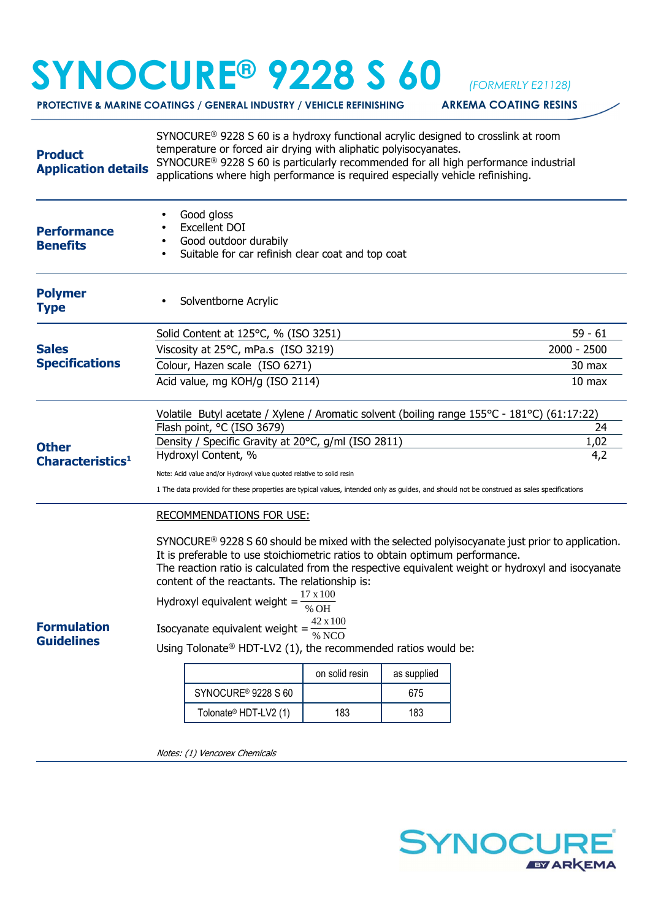## **SYNOCURE® 9228 S 60** *(FORMERLY E21128)*

**PROTECTIVE & MARINE COATINGS / GENERAL INDUSTRY / VEHICLE REFINISHING ARKEMA COATING RESINS** 

| Good gloss<br><b>Excellent DOI</b><br><b>Performance</b><br>Good outdoor durabily<br><b>Benefits</b><br>Suitable for car refinish clear coat and top coat<br><b>Polymer</b><br>Solventborne Acrylic<br><b>Type</b><br>Solid Content at 125°C, % (ISO 3251)<br><b>Sales</b><br>Viscosity at 25°C, mPa.s (ISO 3219)<br><b>Specifications</b><br>Colour, Hazen scale (ISO 6271)<br>Acid value, mg KOH/g (ISO 2114)<br>Volatile Butyl acetate / Xylene / Aromatic solvent (boiling range 155°C - 181°C) (61:17:22)<br>Flash point, °C (ISO 3679)<br>Density / Specific Gravity at 20°C, g/ml (ISO 2811)<br><b>Other</b><br>Hydroxyl Content, %<br>Characteristics <sup>1</sup><br>Note: Acid value and/or Hydroxyl value quoted relative to solid resin |                   |
|-----------------------------------------------------------------------------------------------------------------------------------------------------------------------------------------------------------------------------------------------------------------------------------------------------------------------------------------------------------------------------------------------------------------------------------------------------------------------------------------------------------------------------------------------------------------------------------------------------------------------------------------------------------------------------------------------------------------------------------------------------|-------------------|
|                                                                                                                                                                                                                                                                                                                                                                                                                                                                                                                                                                                                                                                                                                                                                     |                   |
|                                                                                                                                                                                                                                                                                                                                                                                                                                                                                                                                                                                                                                                                                                                                                     |                   |
|                                                                                                                                                                                                                                                                                                                                                                                                                                                                                                                                                                                                                                                                                                                                                     | $59 - 61$         |
|                                                                                                                                                                                                                                                                                                                                                                                                                                                                                                                                                                                                                                                                                                                                                     | 2000 - 2500       |
|                                                                                                                                                                                                                                                                                                                                                                                                                                                                                                                                                                                                                                                                                                                                                     | 30 max            |
|                                                                                                                                                                                                                                                                                                                                                                                                                                                                                                                                                                                                                                                                                                                                                     | 10 <sub>max</sub> |
|                                                                                                                                                                                                                                                                                                                                                                                                                                                                                                                                                                                                                                                                                                                                                     |                   |
|                                                                                                                                                                                                                                                                                                                                                                                                                                                                                                                                                                                                                                                                                                                                                     | 24                |
|                                                                                                                                                                                                                                                                                                                                                                                                                                                                                                                                                                                                                                                                                                                                                     | 1,02<br>4,2       |
|                                                                                                                                                                                                                                                                                                                                                                                                                                                                                                                                                                                                                                                                                                                                                     |                   |
| 1 The data provided for these properties are typical values, intended only as guides, and should not be construed as sales specifications                                                                                                                                                                                                                                                                                                                                                                                                                                                                                                                                                                                                           |                   |
| <b>RECOMMENDATIONS FOR USE:</b>                                                                                                                                                                                                                                                                                                                                                                                                                                                                                                                                                                                                                                                                                                                     |                   |
| $SYNOCURE^{\circ}$ 9228 S 60 should be mixed with the selected polyisocyanate just prior to application.<br>It is preferable to use stoichiometric ratios to obtain optimum performance.<br>The reaction ratio is calculated from the respective equivalent weight or hydroxyl and isocyanate<br>content of the reactants. The relationship is:<br>$17 \times 100$<br>Hydroxyl equivalent weight =<br>% OH<br>Isocyanate equivalent weight = $\frac{42 \times 100}{\% \text{ NCO}}$<br><b>Formulation</b><br><b>Guidelines</b><br>Using Tolonate® HDT-LV2 (1), the recommended ratios would be:<br>as supplied<br>on solid resin<br>SYNOCURE <sup>®</sup> 9228 S 60<br>675<br>Tolonate® HDT-LV2 (1)<br>183<br>183                                   |                   |
|                                                                                                                                                                                                                                                                                                                                                                                                                                                                                                                                                                                                                                                                                                                                                     |                   |

Notes: (1) Vencorex Chemicals